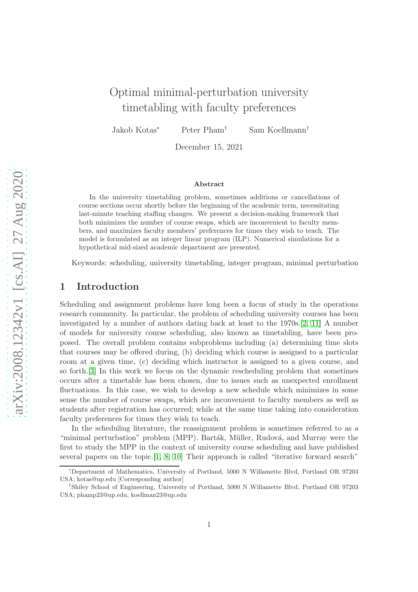# Optimal minimal-perturbation university timetabling with faculty preferences

Jakob Kotas<sup>∗</sup> Peter Pham† Sam Koellmann†

December 15, 2021

#### Abstract

In the university timetabling problem, sometimes additions or cancellations of course sections occur shortly before the beginning of the academic term, necessitating last-minute teaching staffing changes. We present a decision-making framework that both minimizes the number of course swaps, which are inconvenient to faculty members, and maximizes faculty members' preferences for times they wish to teach. The model is formulated as an integer linear program (ILP). Numerical simulations for a hypothetical mid-sized academic department are presented.

Keywords: scheduling, university timetabling, integer program, minimal perturbation

### 1 Introduction

Scheduling and assignment problems have long been a focus of study in the operations research community. In particular, the problem of scheduling university courses has been investigated by a number of authors dating back at least to the 1970s.[\[2,](#page-6-0) [11\]](#page-7-0) A number of models for university course scheduling, also known as timetabling, have been proposed. The overall problem contains subproblems including (a) determining time slots that courses may be offered during, (b) deciding which course is assigned to a particular room at a given time, (c) deciding which instructor is assigned to a given course, and so forth.[\[3\]](#page-6-1) In this work we focus on the dynamic rescheduling problem that sometimes occurs after a timetable has been chosen, due to issues such as unexpected enrollment fluctuations. In this case, we wish to develop a new schedule which minimizes in some sense the number of course swaps, which are inconvenient to faculty members as well as students after registration has occurred; while at the same time taking into consideration faculty preferences for times they wish to teach.

In the scheduling literature, the reassignment problem is sometimes referred to as a "minimal perturbation" problem (MPP). Barták, Müller, Rudová, and Murray were the first to study the MPP in the context of university course scheduling and have published several papers on the topic.[\[1,](#page-6-2) [8,](#page-6-3) [10\]](#page-6-4) Their approach is called "iterative forward search"

<sup>∗</sup>Department of Mathematics, University of Portland, 5000 N Willamette Blvd, Portland OR 97203 USA; kotas@up.edu [Corresponding author]

<sup>†</sup> Shiley School of Engineering, University of Portland, 5000 N Willamette Blvd, Portland OR 97203 USA; phamp23@up.edu, koellman23@up.edu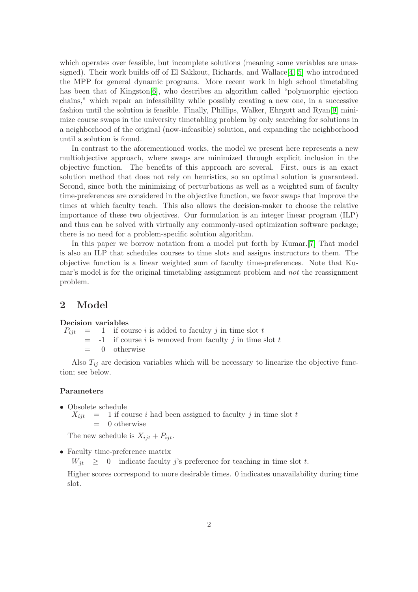which operates over feasible, but incomplete solutions (meaning some variables are unassigned). Their work builds off of El Sakkout, Richards, and Wallace  $[4, 5]$  $[4, 5]$  who introduced the MPP for general dynamic programs. More recent work in high school timetabling has been that of Kingston[\[6\]](#page-6-7), who describes an algorithm called "polymorphic ejection chains," which repair an infeasibility while possibly creating a new one, in a successive fashion until the solution is feasible. Finally, Phillips, Walker, Ehrgott and Ryan[\[9\]](#page-6-8) minimize course swaps in the university timetabling problem by only searching for solutions in a neighborhood of the original (now-infeasible) solution, and expanding the neighborhood until a solution is found.

In contrast to the aforementioned works, the model we present here represents a new multiobjective approach, where swaps are minimized through explicit inclusion in the objective function. The benefits of this approach are several. First, ours is an exact solution method that does not rely on heuristics, so an optimal solution is guaranteed. Second, since both the minimizing of perturbations as well as a weighted sum of faculty time-preferences are considered in the objective function, we favor swaps that improve the times at which faculty teach. This also allows the decision-maker to choose the relative importance of these two objectives. Our formulation is an integer linear program (ILP) and thus can be solved with virtually any commonly-used optimization software package; there is no need for a problem-specific solution algorithm.

In this paper we borrow notation from a model put forth by Kumar.[\[7\]](#page-6-9) That model is also an ILP that schedules courses to time slots and assigns instructors to them. The objective function is a linear weighted sum of faculty time-preferences. Note that Kumar's model is for the original timetabling assignment problem and not the reassignment problem.

### 2 Model

#### Decision variables

 $P_{ijt}$  = 1 if course i is added to faculty j in time slot t

 $= -1$  if course i is removed from faculty j in time slot t

 $= 0$  otherwise

Also  $T_{ij}$  are decision variables which will be necessary to linearize the objective function; see below.

### Parameters

• Obsolete schedule  $X_{ijt}$  = 1 if course i had been assigned to faculty j in time slot t  $= 0$  otherwise

The new schedule is  $X_{ijt} + P_{ijt}$ .

• Faculty time-preference matrix

 $W_{it} \geq 0$  indicate faculty j's preference for teaching in time slot t.

Higher scores correspond to more desirable times. 0 indicates unavailability during time slot.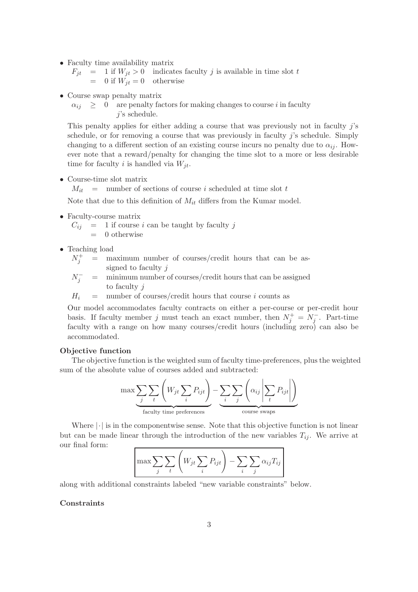• Faculty time availability matrix

 $F_{jt}$  = 1 if  $W_{jt} > 0$  indicates faculty j is available in time slot t  $= 0$  if  $W_{it} = 0$  otherwise

- Course swap penalty matrix
	- $\alpha_{ij} \geq 0$  are penalty factors for making changes to course i in faculty j's schedule.

This penalty applies for either adding a course that was previously not in faculty j's schedule, or for removing a course that was previously in faculty  $j$ 's schedule. Simply changing to a different section of an existing course incurs no penalty due to  $\alpha_{ii}$ . However note that a reward/penalty for changing the time slot to a more or less desirable time for faculty i is handled via  $W_{it}$ .

• Course-time slot matrix

 $M_{it}$  = number of sections of course i scheduled at time slot t

Note that due to this definition of  $M_{it}$  differs from the Kumar model.

• Faculty-course matrix

 $C_{ij}$  = 1 if course i can be taught by faculty j  $= 0$  otherwise

- Teaching load
	- $N_i^+$  $=$  maximum number of courses/credit hours that can be assigned to faculty j
	- $N_j^-$  = minimum number of courses/credit hours that can be assigned to faculty j

 $H_i$  = number of courses/credit hours that course i counts as

Our model accommodates faculty contracts on either a per-course or per-credit hour basis. If faculty member j must teach an exact number, then  $N_j^+ = N_j^-$ . Part-time faculty with a range on how many courses/credit hours (including zero) can also be accommodated.

#### Objective function

The objective function is the weighted sum of faculty time-preferences, plus the weighted sum of the absolute value of courses added and subtracted:

$$
\max \underbrace{\sum_{j} \sum_{t} \left( W_{jt} \sum_{i} P_{ijt} \right)}_{\text{faculty time preferences}} - \underbrace{\sum_{i} \sum_{j} \left( \alpha_{ij} \left| \sum_{t} P_{ijt} \right| \right)}_{\text{course swaps}}
$$

Where  $|\cdot|$  is in the componentwise sense. Note that this objective function is not linear but can be made linear through the introduction of the new variables  $T_{ij}$ . We arrive at our final form:

$$
\left| \max \sum_{j} \sum_{t} \left( W_{jt} \sum_{i} P_{ijt} \right) - \sum_{i} \sum_{j} \alpha_{ij} T_{ij} \right|
$$

along with additional constraints labeled "new variable constraints" below.

### **Constraints**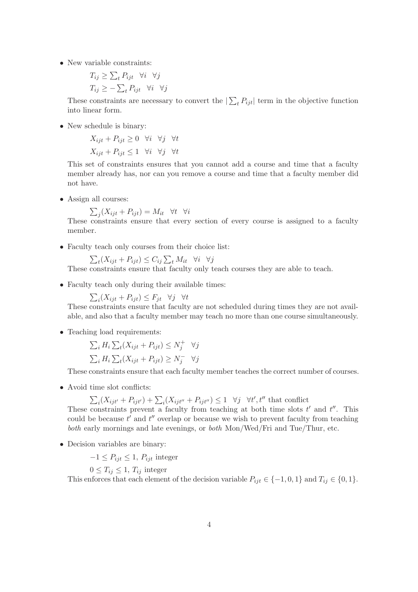• New variable constraints:

$$
T_{ij} \ge \sum_{t} P_{ijt} \quad \forall i \quad \forall j
$$

$$
T_{ij} \ge -\sum_{t} P_{ijt} \quad \forall i \quad \forall j
$$

These constraints are necessary to convert the  $|\sum_{t} P_{ijt}|$  term in the objective function into linear form.

• New schedule is binary:

 $X_{i}+P_{i}+2\geq 0$   $\forall i$   $\forall j$   $\forall t$  $X_{i}$ <sub>it</sub> +  $P_{i}$ <sub>it</sub> < 1  $\forall i \forall j \forall t$ 

This set of constraints ensures that you cannot add a course and time that a faculty member already has, nor can you remove a course and time that a faculty member did not have.

• Assign all courses:

$$
\sum_{j} (X_{ijt} + P_{ijt}) = M_{it} \quad \forall t \quad \forall i
$$

These constraints ensure that every section of every course is assigned to a faculty member.

• Faculty teach only courses from their choice list:

$$
\sum_{t} (X_{ijt} + P_{ijt}) \leq C_{ij} \sum_{t} M_{it} \quad \forall i \quad \forall j
$$

These constraints ensure that faculty only teach courses they are able to teach.

• Faculty teach only during their available times:

 $\sum_i (X_{ijt} + P_{ijt}) \leq F_{jt} \quad \forall j \quad \forall t$ 

These constraints ensure that faculty are not scheduled during times they are not available, and also that a faculty member may teach no more than one course simultaneously.

• Teaching load requirements:

$$
\sum_{i} H_{i} \sum_{t} (X_{ijt} + P_{ijt}) \le N_{j}^{+} \quad \forall j
$$
  

$$
\sum_{i} H_{i} \sum_{t} (X_{ijt} + P_{ijt}) \ge N_{j}^{-} \quad \forall j
$$

These constraints ensure that each faculty member teaches the correct number of courses.

• Avoid time slot conflicts:

$$
\sum_{i}(X_{ijt'} + P_{ijt'}) + \sum_{i}(X_{ijt''} + P_{ijt''}) \le 1 \quad \forall j \quad \forall t', t''
$$
 that conflict

These constraints prevent a faculty from teaching at both time slots t' and t''. This could be because  $t'$  and  $t''$  overlap or because we wish to prevent faculty from teaching both early mornings and late evenings, or both Mon/Wed/Fri and Tue/Thur, etc.

• Decision variables are binary:

 $-1 \leq P_{ijt} \leq 1$ ,  $P_{ijt}$  integer

 $0 \leq T_{ij} \leq 1, T_{ij}$  integer

This enforces that each element of the decision variable  $P_{ijt} \in \{-1,0,1\}$  and  $T_{ij} \in \{0,1\}.$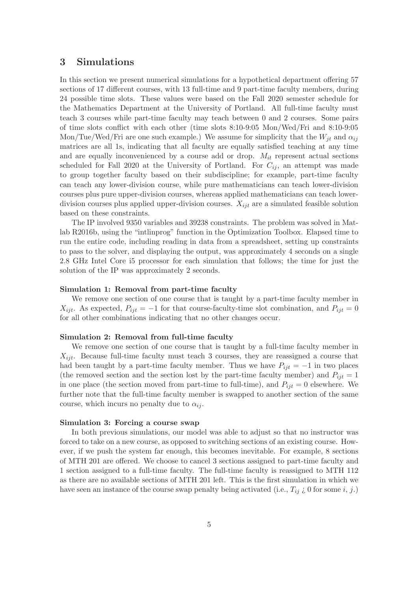## 3 Simulations

In this section we present numerical simulations for a hypothetical department offering 57 sections of 17 different courses, with 13 full-time and 9 part-time faculty members, during 24 possible time slots. These values were based on the Fall 2020 semester schedule for the Mathematics Department at the University of Portland. All full-time faculty must teach 3 courses while part-time faculty may teach between 0 and 2 courses. Some pairs of time slots conflict with each other (time slots 8:10-9:05 Mon/Wed/Fri and 8:10-9:05 Mon/Tue/Wed/Fri are one such example.) We assume for simplicity that the  $W_{it}$  and  $\alpha_{ij}$ matrices are all 1s, indicating that all faculty are equally satisfied teaching at any time and are equally inconvenienced by a course add or drop.  $M_{it}$  represent actual sections scheduled for Fall 2020 at the University of Portland. For  $C_{ij}$ , an attempt was made to group together faculty based on their subdiscipline; for example, part-time faculty can teach any lower-division course, while pure mathematicians can teach lower-division courses plus pure upper-division courses, whereas applied mathematicians can teach lowerdivision courses plus applied upper-division courses.  $X_{ijt}$  are a simulated feasible solution based on these constraints.

The IP involved 9350 variables and 39238 constraints. The problem was solved in Matlab R2016b, using the "intlinprog" function in the Optimization Toolbox. Elapsed time to run the entire code, including reading in data from a spreadsheet, setting up constraints to pass to the solver, and displaying the output, was approximately 4 seconds on a single 2.8 GHz Intel Core i5 processor for each simulation that follows; the time for just the solution of the IP was approximately 2 seconds.

#### Simulation 1: Removal from part-time faculty

We remove one section of one course that is taught by a part-time faculty member in  $X_{ijt}$ . As expected,  $P_{ijt} = -1$  for that course-faculty-time slot combination, and  $P_{ijt} = 0$ for all other combinations indicating that no other changes occur.

#### Simulation 2: Removal from full-time faculty

We remove one section of one course that is taught by a full-time faculty member in  $X_{ijt}$ . Because full-time faculty must teach 3 courses, they are reassigned a course that had been taught by a part-time faculty member. Thus we have  $P_{ijt} = -1$  in two places (the removed section and the section lost by the part-time faculty member) and  $P_{ijt} = 1$ in one place (the section moved from part-time to full-time), and  $P_{ijt} = 0$  elsewhere. We further note that the full-time faculty member is swapped to another section of the same course, which incurs no penalty due to  $\alpha_{ij}$ .

#### Simulation 3: Forcing a course swap

In both previous simulations, our model was able to adjust so that no instructor was forced to take on a new course, as opposed to switching sections of an existing course. However, if we push the system far enough, this becomes inevitable. For example, 8 sections of MTH 201 are offered. We choose to cancel 3 sections assigned to part-time faculty and 1 section assigned to a full-time faculty. The full-time faculty is reassigned to MTH 112 as there are no available sections of MTH 201 left. This is the first simulation in which we have seen an instance of the course swap penalty being activated (i.e.,  $T_{ij}$   $\zeta$  0 for some i, j.)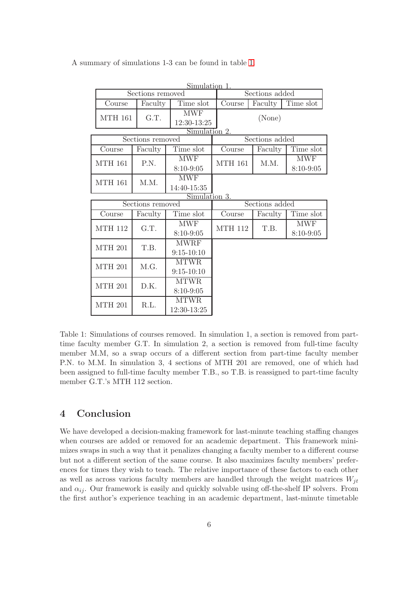|                  |         | Simulation 1.           |                |         |               |
|------------------|---------|-------------------------|----------------|---------|---------------|
| Sections removed |         |                         | Sections added |         |               |
| Course           | Faculty | Time slot               | Course         | Faculty | Time slot     |
| <b>MTH 161</b>   | G.T.    | <b>MWF</b>              |                |         |               |
|                  |         | 12:30-13:25             | (None)         |         |               |
| Simulation 2.    |         |                         |                |         |               |
| Sections removed |         |                         | Sections added |         |               |
| Course           | Faculty | Time slot               | Course         | Faculty | Time slot     |
| <b>MTH 161</b>   | P.N.    | $\overline{\text{MWF}}$ | <b>MTH 161</b> | M.M.    | <b>MWF</b>    |
|                  |         | $8:10 - 9:05$           |                |         | $8:10 - 9:05$ |
| <b>MTH 161</b>   | M.M.    | <b>MWF</b>              |                |         |               |
|                  |         | 14:40-15:35             |                |         |               |
| Simulation 3.    |         |                         |                |         |               |
| Sections removed |         |                         | Sections added |         |               |
| Course           | Faculty | Time slot               | Course         | Faculty | Time slot     |
|                  |         |                         |                |         |               |
|                  |         | <b>MWF</b>              |                |         | <b>MWF</b>    |
| <b>MTH 112</b>   | G.T.    | $8:10-9:05$             | <b>MTH 112</b> | T.B.    | $8:10 - 9:05$ |
|                  |         | <b>MWRF</b>             |                |         |               |
| <b>MTH 201</b>   | T.B.    | $9:15 - 10:10$          |                |         |               |
|                  |         | <b>MTWR</b>             |                |         |               |
| <b>MTH 201</b>   | M.G.    | $9:15 - 10:10$          |                |         |               |
|                  |         | <b>MTWR</b>             |                |         |               |
| <b>MTH 201</b>   | D.K.    | $8:10 - 9:05$           |                |         |               |
| <b>MTH 201</b>   | R.L.    | <b>MTWR</b>             |                |         |               |

A summary of simulations 1-3 can be found in table [1.](#page-5-0)

<span id="page-5-0"></span>Table 1: Simulations of courses removed. In simulation 1, a section is removed from parttime faculty member G.T. In simulation 2, a section is removed from full-time faculty member M.M, so a swap occurs of a different section from part-time faculty member P.N. to M.M. In simulation 3, 4 sections of MTH 201 are removed, one of which had been assigned to full-time faculty member T.B., so T.B. is reassigned to part-time faculty member G.T.'s MTH 112 section.

# 4 Conclusion

We have developed a decision-making framework for last-minute teaching staffing changes when courses are added or removed for an academic department. This framework minimizes swaps in such a way that it penalizes changing a faculty member to a different course but not a different section of the same course. It also maximizes faculty members' preferences for times they wish to teach. The relative importance of these factors to each other as well as across various faculty members are handled through the weight matrices  $W_{it}$ and  $\alpha_{ii}$ . Our framework is easily and quickly solvable using off-the-shelf IP solvers. From the first author's experience teaching in an academic department, last-minute timetable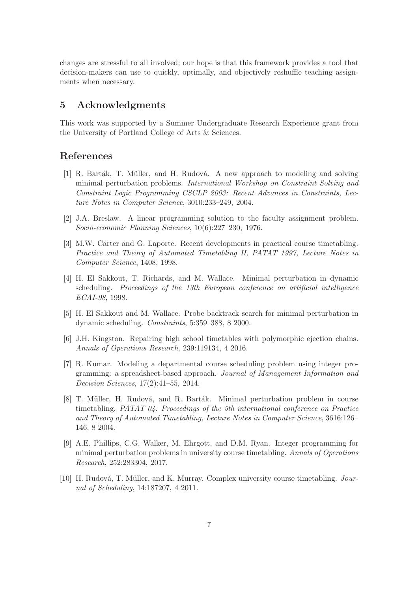changes are stressful to all involved; our hope is that this framework provides a tool that decision-makers can use to quickly, optimally, and objectively reshuffle teaching assignments when necessary.

## 5 Acknowledgments

This work was supported by a Summer Undergraduate Research Experience grant from the University of Portland College of Arts & Sciences.

## <span id="page-6-2"></span>References

- [1] R. Barták, T. Müller, and H. Rudová. A new approach to modeling and solving minimal perturbation problems. International Workshop on Constraint Solving and Constraint Logic Programming CSCLP 2003: Recent Advances in Constraints, Lecture Notes in Computer Science, 3010:233–249, 2004.
- <span id="page-6-1"></span><span id="page-6-0"></span>[2] J.A. Breslaw. A linear programming solution to the faculty assignment problem. Socio-economic Planning Sciences, 10(6):227–230, 1976.
- [3] M.W. Carter and G. Laporte. Recent developments in practical course timetabling. Practice and Theory of Automated Timetabling II, PATAT 1997, Lecture Notes in Computer Science, 1408, 1998.
- <span id="page-6-5"></span>[4] H. El Sakkout, T. Richards, and M. Wallace. Minimal perturbation in dynamic scheduling. Proceedings of the 13th European conference on artificial intelligence ECAI-98, 1998.
- <span id="page-6-7"></span><span id="page-6-6"></span>[5] H. El Sakkout and M. Wallace. Probe backtrack search for minimal perturbation in dynamic scheduling. Constraints, 5:359–388, 8 2000.
- <span id="page-6-9"></span>[6] J.H. Kingston. Repairing high school timetables with polymorphic ejection chains. Annals of Operations Research, 239:119134, 4 2016.
- [7] R. Kumar. Modeling a departmental course scheduling problem using integer programming: a spreadsheet-based approach. Journal of Management Information and Decision Sciences, 17(2):41–55, 2014.
- <span id="page-6-3"></span>[8] T. Müller, H. Rudová, and R. Barták. Minimal perturbation problem in course timetabling. PATAT 04: Proceedings of the 5th international conference on Practice and Theory of Automated Timetabling, Lecture Notes in Computer Science, 3616:126– 146, 8 2004.
- <span id="page-6-8"></span>[9] A.E. Phillips, C.G. Walker, M. Ehrgott, and D.M. Ryan. Integer programming for minimal perturbation problems in university course timetabling. Annals of Operations Research, 252:283304, 2017.
- <span id="page-6-4"></span>[10] H. Rudová, T. Müller, and K. Murray. Complex university course timetabling. Journal of Scheduling, 14:187207, 4 2011.